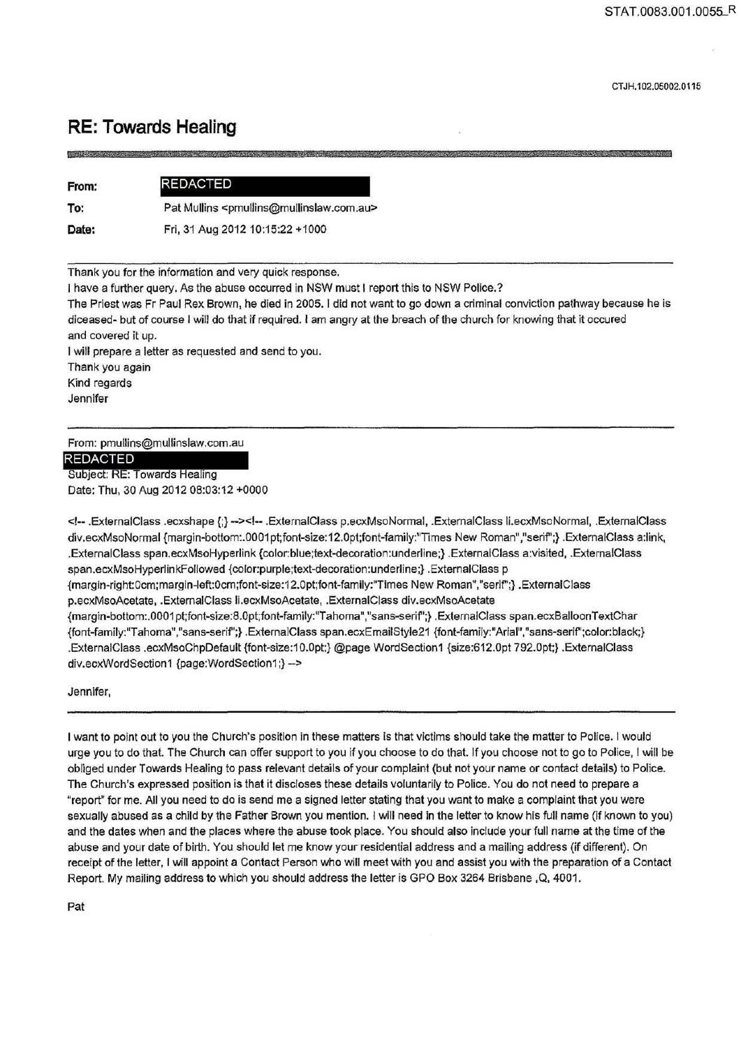# **RE: Towards Healing**

**AZ** £&¥& **W'"il H'**  ; **mm** 

| From: | <b>REDACTED</b>                                                       |
|-------|-----------------------------------------------------------------------|
| To:   | Pat Mullins <pmullins@mullinslaw.com.au></pmullins@mullinslaw.com.au> |
|       |                                                                       |

**Date:** 

Fri, 31Aug201210:15:22 +1000

Thank you for the information and very quick response.

I have a further query. As the abuse occurred in NSW must I report this to NSW Police.?

The Priest was Fr Paul Rex Brown, he died in 2005. I did not want to go down a criminal conviction pathway because he is diceased- but of course I will do that if required. I am angry at the breach of the church for knowing that it occured and covered it up.

I will prepare a Jetter as requested and send to you.

Thank you again

Kind regards

Jennifer

From: pmullins@mullinslaw.com.au

**REDACTED** 

Subject: RE: Towards Healing Date: Thu, 30 Aug 2012 08:03:12 +0000

<!-- .ExternalClass .ecxshape {;} --><!-- .ExtemalClass p.ecxMsoNormal, .ExtemalClass li.ecxMsoNormal, .ExtemalClass div.ecxMsoNormal {margin-bottom:.0001pt;font-size:12.0pt;font-family:"Times New Roman","serif";} .ExtemalClass a:link, .ExternalClass span.ecxMsoHyperlink {color:blue;text-decoration:underline;} .ExternalClass a:visited, .ExternalClass span.ecxMsoHyperlinkFollowed {color:purple;text-decoration:underline;} .ExternalClass p {margin-right:Ocm;margin-left:Ocm;font-size:12.0pt;font-family:'Times New Roman","serif';} .ExternalCJass p.ecxMsoAcetate, .ExtemalClass li.ecxMsoAcetate, .ExternalClass div.ecxMsoAcetate {margin-bottom:.0001pt;font-size:8.0pt;font-family:"Tahoma","sans-serif";} .ExternalClass span.ecxBalloonTextChar {font-family:"T ahoma", "sans-serif';} . ExternalClass span.ecxEmailStyle21 {font-family:"Arial" ,"sans-serif'; color: black;} .External Cl ass .ecxMsoChpDefault {font-size:1 O.Opt;} @page WordSeclion 1 {size:612.0pt 792.0pt;} .ExternalClass div.ecxWordSection1 {page:WordSeclion1 ;} ->

Jennifer,

I want to point out to you the Church's position in these matters is that victims should take the matter to Police. I would urge you to do that. The Church can offer support to you if you choose to do that. If you choose not to go to Police, I will be obliged under Towards Healing to pass relevant details of your complaint (but not your name or contact details) to Police. The Church's expressed position is that it discloses these details voluntarily to Police. You do not need to prepare a "report" for me. All you need to do is send me a signed letter stating that you want to make a complaint that you were sexually abused as a child by the Father Brown you mention. I will need in the letter to know his full name (if known to you) and the dates when and the places where the abuse took place. You should also include your full name at the time of the abuse and your date of birth. You should let me know your residential address and a mailing address (if different). On receipt of the letter, I will appoint a Contact Person who will meet with you and assist you with the preparation of a Contact Report. My mailing address to which you should address the letter is GPO Box 3264 Brisbane , Q, 4001.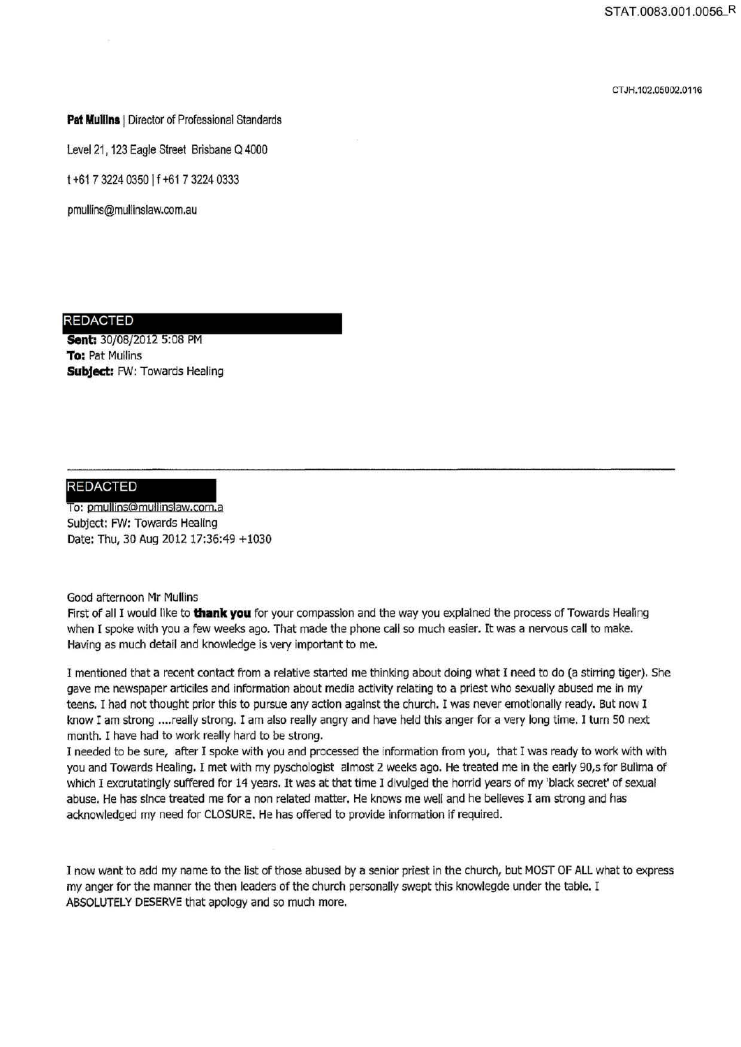CT JH.102.05002.0116

### **Pat Mullins** I Director of Professional Standards

Level 21, 123 Eagle Street Brisbane Q 4000

t +61 7 3224 0350 It +61 7 3224 0333

pmullins@mullinslaw.com.au

## REDACTED

**Sent: 30/08/2012 5:08 PM To:** Pat Mullins **Subject:** FW: Towards Healing

**REDACTED**<br>To: pmullins@mullinslaw.com.a Subject: FW: Towards Healing Date: Thu, 30 Aug 2012 17:36:49 +1030

Good afternoon Mr Mullins

First of all I would llke to **thank you** for your compassion and the way you explained the process of Towards Healing when I spoke with you a few weeks ago. That made the phone call so much easier. It was a nervous call to make. Having as much detail and knowledge is very important to me.

I mentioned that a recent contact from a relative started me thinking about doing what I need to do (a stirring tiger). She gave me newspaper articiles and information about media activity relating to a priest who sexually abused me in my teens. I had not thought prior this to pursue any action against the church. I was never emotionally ready. But now I know I am strong .... really strong. I am also really angry and have held this anger for a very long time. I turn SO next month. I have had to work really hard to be strong.

I needed to be sure, after I spoke with you and processed the information from you, that I was ready to work with with you and Towards Healing. I met with my pyschologist almost 2 weeks ago. He treated me in the early 90,s for Sulima of which I excrutatingly suffered for 14 years. It was at that time I divulged the horrid years of my 'black secret' of sexual abuse. He has since treated me for a non related matter. He knows me well and he believes I am strong and has acknowledged my need for CLOSURE. He has offered to provide information if required.

I now want to add my name to the list of those abused by a senior priest In the church, but MOST OF ALL what to express my anger for the manner the then leaders of the church personally swept this knowlegde under the table. I ABSOLUTELY DESERVE that apology and so much more.